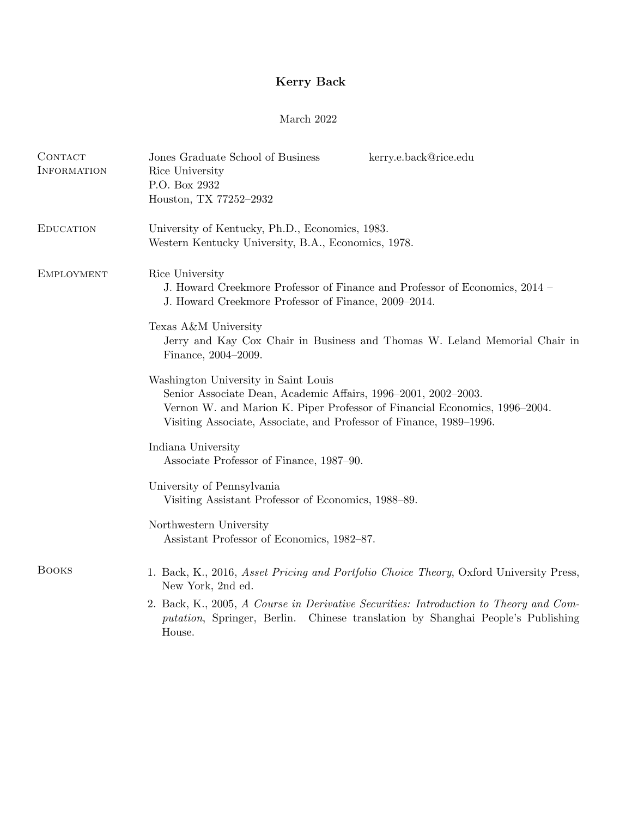## Kerry Back

## March 2022

| CONTACT<br>INFORMATION | Jones Graduate School of Business<br>kerry.e.back@rice.edu<br>Rice University<br>P.O. Box 2932<br>Houston, TX 77252-2932                                                                                                                                    |
|------------------------|-------------------------------------------------------------------------------------------------------------------------------------------------------------------------------------------------------------------------------------------------------------|
| <b>EDUCATION</b>       | University of Kentucky, Ph.D., Economics, 1983.<br>Western Kentucky University, B.A., Economics, 1978.                                                                                                                                                      |
| <b>EMPLOYMENT</b>      | Rice University<br>J. Howard Creekmore Professor of Finance and Professor of Economics, 2014 –<br>J. Howard Creekmore Professor of Finance, 2009–2014.                                                                                                      |
|                        | Texas A&M University<br>Jerry and Kay Cox Chair in Business and Thomas W. Leland Memorial Chair in<br>Finance, 2004-2009.                                                                                                                                   |
|                        | Washington University in Saint Louis<br>Senior Associate Dean, Academic Affairs, 1996–2001, 2002–2003.<br>Vernon W. and Marion K. Piper Professor of Financial Economics, 1996-2004.<br>Visiting Associate, Associate, and Professor of Finance, 1989–1996. |
|                        | Indiana University<br>Associate Professor of Finance, 1987–90.                                                                                                                                                                                              |
|                        | University of Pennsylvania<br>Visiting Assistant Professor of Economics, 1988–89.                                                                                                                                                                           |
|                        | Northwestern University<br>Assistant Professor of Economics, 1982-87.                                                                                                                                                                                       |
| <b>BOOKS</b>           | 1. Back, K., 2016, Asset Pricing and Portfolio Choice Theory, Oxford University Press,<br>New York, 2nd ed.                                                                                                                                                 |
|                        | 2. Back, K., 2005, A Course in Derivative Securities: Introduction to Theory and Com-<br><i>putation</i> , Springer, Berlin. Chinese translation by Shanghai People's Publishing<br>House.                                                                  |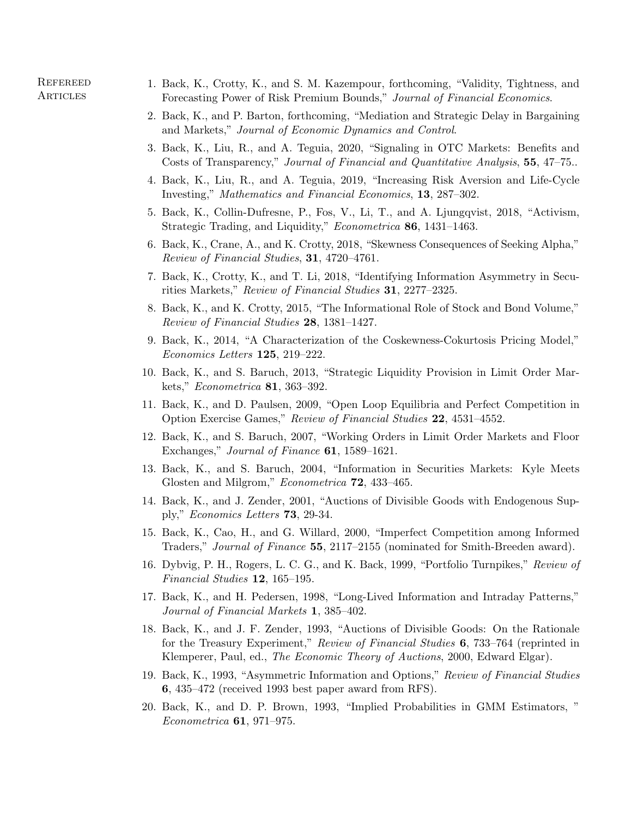- 1. Back, K., Crotty, K., and S. M. Kazempour, forthcoming, "Validity, Tightness, and Forecasting Power of Risk Premium Bounds," Journal of Financial Economics.
- 2. Back, K., and P. Barton, forthcoming, "Mediation and Strategic Delay in Bargaining and Markets," Journal of Economic Dynamics and Control.
- 3. Back, K., Liu, R., and A. Teguia, 2020, "Signaling in OTC Markets: Benefits and Costs of Transparency," Journal of Financial and Quantitative Analysis, 55, 47–75...
- 4. Back, K., Liu, R., and A. Teguia, 2019, "Increasing Risk Aversion and Life-Cycle Investing," Mathematics and Financial Economics, 13, 287–302.
- 5. Back, K., Collin-Dufresne, P., Fos, V., Li, T., and A. Ljungqvist, 2018, "Activism, Strategic Trading, and Liquidity," Econometrica 86, 1431-1463.
- 6. Back, K., Crane, A., and K. Crotty, 2018, "Skewness Consequences of Seeking Alpha," Review of Financial Studies, 31, 4720–4761.
- 7. Back, K., Crotty, K., and T. Li, 2018, "Identifying Information Asymmetry in Securities Markets," Review of Financial Studies 31, 2277–2325.
- 8. Back, K., and K. Crotty, 2015, "The Informational Role of Stock and Bond Volume," Review of Financial Studies 28, 1381–1427.
- 9. Back, K., 2014, "A Characterization of the Coskewness-Cokurtosis Pricing Model," Economics Letters 125, 219–222.
- 10. Back, K., and S. Baruch, 2013, "Strategic Liquidity Provision in Limit Order Markets," Econometrica 81, 363–392.
- 11. Back, K., and D. Paulsen, 2009, "Open Loop Equilibria and Perfect Competition in Option Exercise Games," Review of Financial Studies 22, 4531–4552.
- 12. Back, K., and S. Baruch, 2007, "Working Orders in Limit Order Markets and Floor Exchanges," Journal of Finance **61**, 1589–1621.
- 13. Back, K., and S. Baruch, 2004, "Information in Securities Markets: Kyle Meets Glosten and Milgrom," *Econometrica* **72**, 433-465.
- 14. Back, K., and J. Zender, 2001, "Auctions of Divisible Goods with Endogenous Supply," Economics Letters 73, 29-34.
- 15. Back, K., Cao, H., and G. Willard, 2000, "Imperfect Competition among Informed Traders," Journal of Finance 55, 2117–2155 (nominated for Smith-Breeden award).
- 16. Dybvig, P. H., Rogers, L. C. G., and K. Back, 1999, "Portfolio Turnpikes," Review of Financial Studies 12, 165–195.
- 17. Back, K., and H. Pedersen, 1998, "Long-Lived Information and Intraday Patterns," Journal of Financial Markets 1, 385–402.
- 18. Back, K., and J. F. Zender, 1993, "Auctions of Divisible Goods: On the Rationale for the Treasury Experiment," Review of Financial Studies 6, 733–764 (reprinted in Klemperer, Paul, ed., The Economic Theory of Auctions, 2000, Edward Elgar).
- 19. Back, K., 1993, "Asymmetric Information and Options," Review of Financial Studies 6, 435–472 (received 1993 best paper award from RFS).
- 20. Back, K., and D. P. Brown, 1993, "Implied Probabilities in GMM Estimators, " Econometrica 61, 971–975.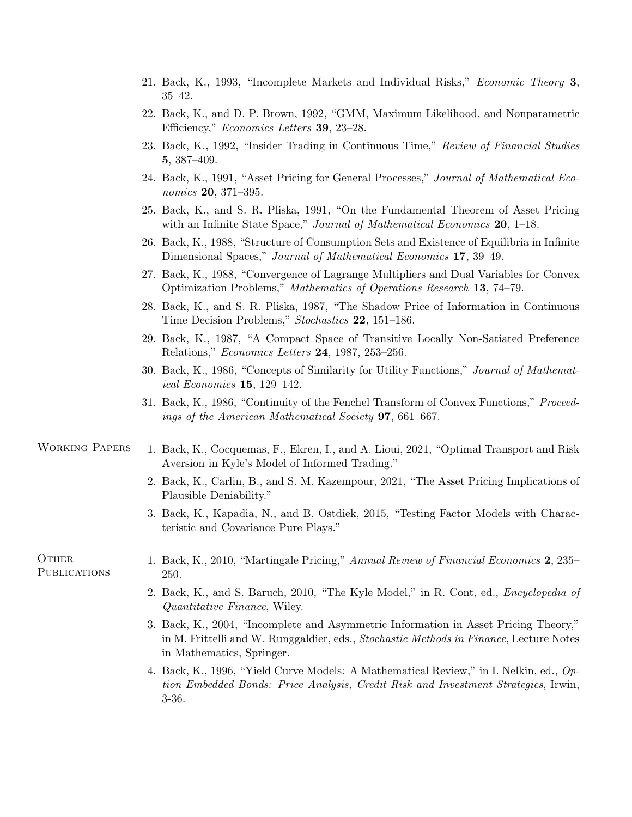- 21. Back, K., 1993, "Incomplete Markets and Individual Risks," Economic Theory 3, 35–42.
- 22. Back, K., and D. P. Brown, 1992, "GMM, Maximum Likelihood, and Nonparametric Efficiency," Economics Letters 39, 23–28.
- 23. Back, K., 1992, "Insider Trading in Continuous Time," Review of Financial Studies 5, 387–409.
- 24. Back, K., 1991, "Asset Pricing for General Processes," Journal of Mathematical Economics 20, 371–395.
- 25. Back, K., and S. R. Pliska, 1991, "On the Fundamental Theorem of Asset Pricing with an Infinite State Space," Journal of Mathematical Economics 20, 1–18.
- 26. Back, K., 1988, "Structure of Consumption Sets and Existence of Equilibria in Infinite Dimensional Spaces," Journal of Mathematical Economics 17, 39–49.
- 27. Back, K., 1988, "Convergence of Lagrange Multipliers and Dual Variables for Convex Optimization Problems," Mathematics of Operations Research 13, 74–79.
- 28. Back, K., and S. R. Pliska, 1987, "The Shadow Price of Information in Continuous Time Decision Problems," Stochastics 22, 151–186.
- 29. Back, K., 1987, "A Compact Space of Transitive Locally Non-Satiated Preference Relations," Economics Letters 24, 1987, 253–256.
- 30. Back, K., 1986, "Concepts of Similarity for Utility Functions," Journal of Mathematical Economics 15, 129–142.
- 31. Back, K., 1986, "Continuity of the Fenchel Transform of Convex Functions," Proceedings of the American Mathematical Society 97, 661–667.

## WORKING PAPERS 1. Back, K., Cocquemas, F., Ekren, I., and A. Lioui, 2021, "Optimal Transport and Risk Aversion in Kyle's Model of Informed Trading."

- 2. Back, K., Carlin, B., and S. M. Kazempour, 2021, "The Asset Pricing Implications of Plausible Deniability."
- 3. Back, K., Kapadia, N., and B. Ostdiek, 2015, "Testing Factor Models with Characteristic and Covariance Pure Plays."

PUBLICATIONS 250.

- OTHER 1. Back, K., 2010, "Martingale Pricing," Annual Review of Financial Economics 2, 235–
	- 2. Back, K., and S. Baruch, 2010, "The Kyle Model," in R. Cont, ed., Encyclopedia of Quantitative Finance, Wiley.
	- 3. Back, K., 2004, "Incomplete and Asymmetric Information in Asset Pricing Theory," in M. Frittelli and W. Runggaldier, eds., Stochastic Methods in Finance, Lecture Notes in Mathematics, Springer.
	- 4. Back, K., 1996, "Yield Curve Models: A Mathematical Review," in I. Nelkin, ed., Option Embedded Bonds: Price Analysis, Credit Risk and Investment Strategies, Irwin, 3-36.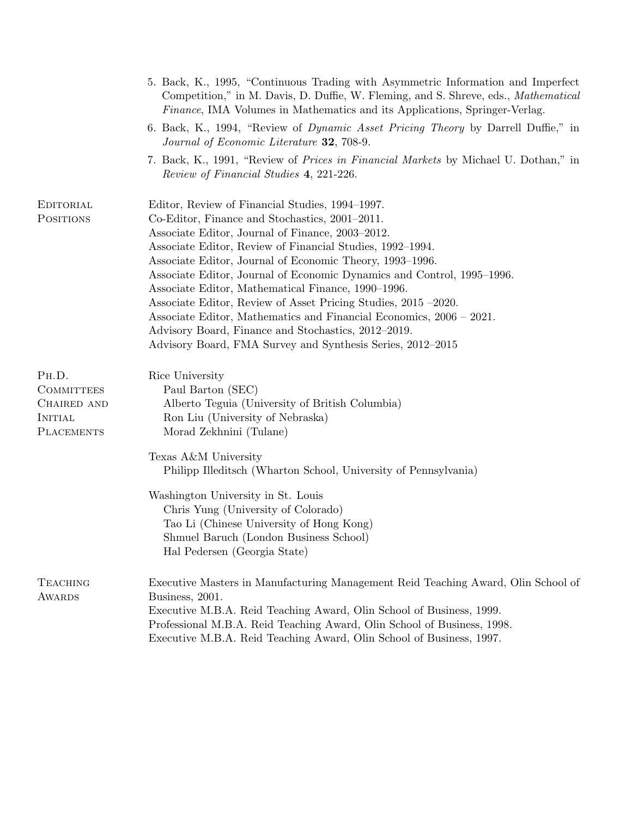|                                                                                  | 5. Back, K., 1995, "Continuous Trading with Asymmetric Information and Imperfect<br>Competition," in M. Davis, D. Duffie, W. Fleming, and S. Shreve, eds., <i>Mathematical</i><br>Finance, IMA Volumes in Mathematics and its Applications, Springer-Verlag.                                                                                                                                                                                                                                                                                                                                                                                                                 |
|----------------------------------------------------------------------------------|------------------------------------------------------------------------------------------------------------------------------------------------------------------------------------------------------------------------------------------------------------------------------------------------------------------------------------------------------------------------------------------------------------------------------------------------------------------------------------------------------------------------------------------------------------------------------------------------------------------------------------------------------------------------------|
|                                                                                  | 6. Back, K., 1994, "Review of <i>Dynamic Asset Pricing Theory</i> by Darrell Duffie," in<br>Journal of Economic Literature 32, 708-9.                                                                                                                                                                                                                                                                                                                                                                                                                                                                                                                                        |
|                                                                                  | 7. Back, K., 1991, "Review of <i>Prices in Financial Markets</i> by Michael U. Dothan," in<br>Review of Financial Studies 4, 221-226.                                                                                                                                                                                                                                                                                                                                                                                                                                                                                                                                        |
| EDITORIAL<br><b>POSITIONS</b>                                                    | Editor, Review of Financial Studies, 1994–1997.<br>Co-Editor, Finance and Stochastics, 2001–2011.<br>Associate Editor, Journal of Finance, 2003–2012.<br>Associate Editor, Review of Financial Studies, 1992–1994.<br>Associate Editor, Journal of Economic Theory, 1993–1996.<br>Associate Editor, Journal of Economic Dynamics and Control, 1995-1996.<br>Associate Editor, Mathematical Finance, 1990–1996.<br>Associate Editor, Review of Asset Pricing Studies, 2015 -2020.<br>Associate Editor, Mathematics and Financial Economics, 2006 – 2021.<br>Advisory Board, Finance and Stochastics, 2012–2019.<br>Advisory Board, FMA Survey and Synthesis Series, 2012–2015 |
| PH.D.<br><b>COMMITTEES</b><br>CHAIRED AND<br><b>INITIAL</b><br><b>PLACEMENTS</b> | Rice University<br>Paul Barton (SEC)<br>Alberto Teguia (University of British Columbia)<br>Ron Liu (University of Nebraska)<br>Morad Zekhnini (Tulane)                                                                                                                                                                                                                                                                                                                                                                                                                                                                                                                       |
|                                                                                  | Texas A&M University<br>Philipp Illeditsch (Wharton School, University of Pennsylvania)<br>Washington University in St. Louis<br>Chris Yung (University of Colorado)<br>Tao Li (Chinese University of Hong Kong)<br>Shmuel Baruch (London Business School)<br>Hal Pedersen (Georgia State)                                                                                                                                                                                                                                                                                                                                                                                   |
| <b>TEACHING</b><br><b>AWARDS</b>                                                 | Executive Masters in Manufacturing Management Reid Teaching Award, Olin School of<br>Business, 2001.<br>Executive M.B.A. Reid Teaching Award, Olin School of Business, 1999.<br>Professional M.B.A. Reid Teaching Award, Olin School of Business, 1998.<br>Executive M.B.A. Reid Teaching Award, Olin School of Business, 1997.                                                                                                                                                                                                                                                                                                                                              |